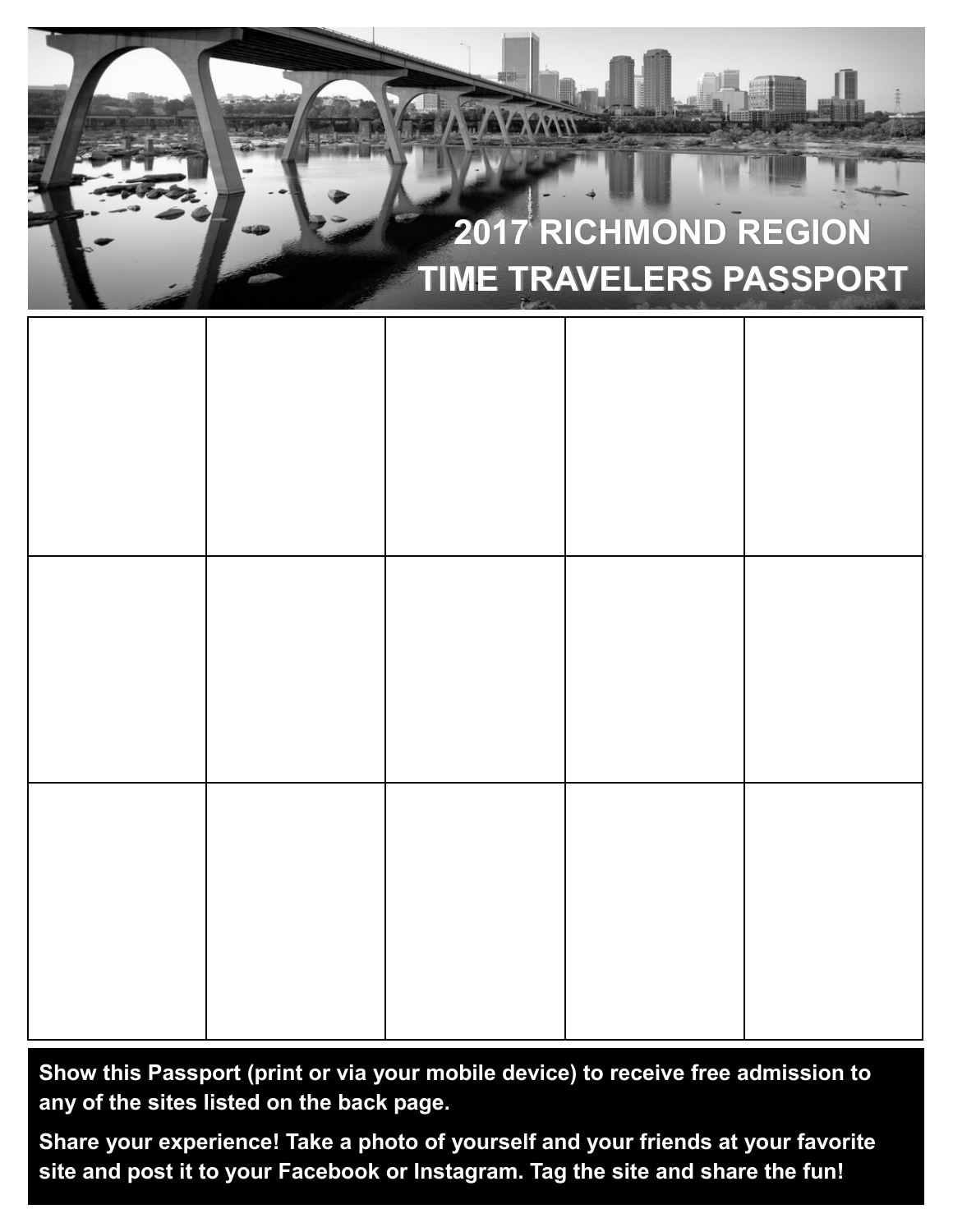

**Show this Passport (print or via your mobile device) to receive free admission to any of the sites listed on the back page.**

**Share your experience! Take a photo of yourself and your friends at your favorite site and post it to your Facebook or Instagram. Tag the site and share the fun!**